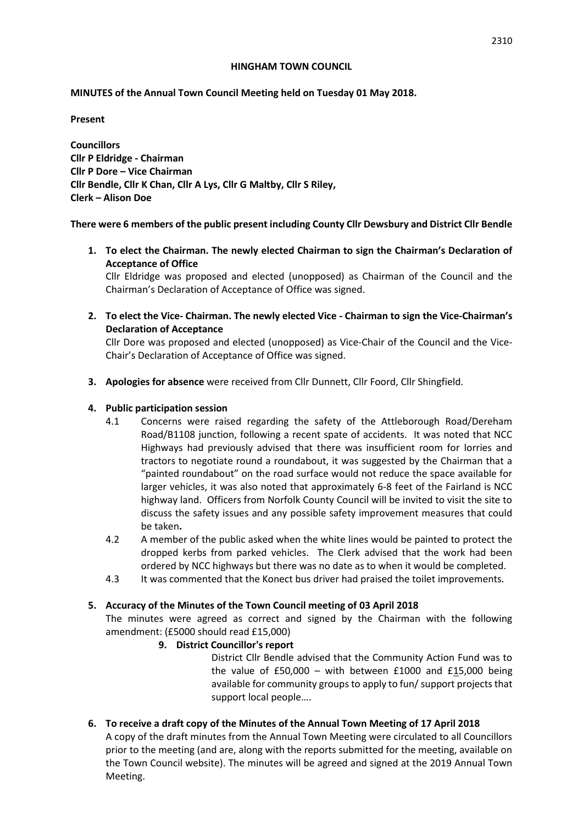#### **HINGHAM TOWN COUNCIL**

### **MINUTES of the Annual Town Council Meeting held on Tuesday 01 May 2018.**

**Present**

**Councillors Cllr P Eldridge - Chairman Cllr P Dore – Vice Chairman Cllr Bendle, Cllr K Chan, Cllr A Lys, Cllr G Maltby, Cllr S Riley, Clerk – Alison Doe**

**There were 6 members of the public present including County Cllr Dewsbury and District Cllr Bendle**

**1. To elect the Chairman. The newly elected Chairman to sign the Chairman's Declaration of Acceptance of Office**

Cllr Eldridge was proposed and elected (unopposed) as Chairman of the Council and the Chairman's Declaration of Acceptance of Office was signed.

**2. To elect the Vice- Chairman. The newly elected Vice - Chairman to sign the Vice-Chairman's Declaration of Acceptance**

Cllr Dore was proposed and elected (unopposed) as Vice-Chair of the Council and the Vice-Chair's Declaration of Acceptance of Office was signed.

**3. Apologies for absence** were received from Cllr Dunnett, Cllr Foord, Cllr Shingfield.

### **4. Public participation session**

- 4.1 Concerns were raised regarding the safety of the Attleborough Road/Dereham Road/B1108 junction, following a recent spate of accidents. It was noted that NCC Highways had previously advised that there was insufficient room for lorries and tractors to negotiate round a roundabout, it was suggested by the Chairman that a "painted roundabout" on the road surface would not reduce the space available for larger vehicles, it was also noted that approximately 6-8 feet of the Fairland is NCC highway land. Officers from Norfolk County Council will be invited to visit the site to discuss the safety issues and any possible safety improvement measures that could be taken**.**
- 4.2 A member of the public asked when the white lines would be painted to protect the dropped kerbs from parked vehicles. The Clerk advised that the work had been ordered by NCC highways but there was no date as to when it would be completed.
- 4.3 It was commented that the Konect bus driver had praised the toilet improvements.

# **5. Accuracy of the Minutes of the Town Council meeting of 03 April 2018**

The minutes were agreed as correct and signed by the Chairman with the following amendment: (£5000 should read £15,000)

# **9. District Councillor's report**

District Cllr Bendle advised that the Community Action Fund was to the value of  $£50,000 -$  with between  $£1000$  and  $£15,000$  being available for community groups to apply to fun/ support projects that support local people….

**6. To receive a draft copy of the Minutes of the Annual Town Meeting of 17 April 2018** 

A copy of the draft minutes from the Annual Town Meeting were circulated to all Councillors prior to the meeting (and are, along with the reports submitted for the meeting, available on the Town Council website). The minutes will be agreed and signed at the 2019 Annual Town Meeting.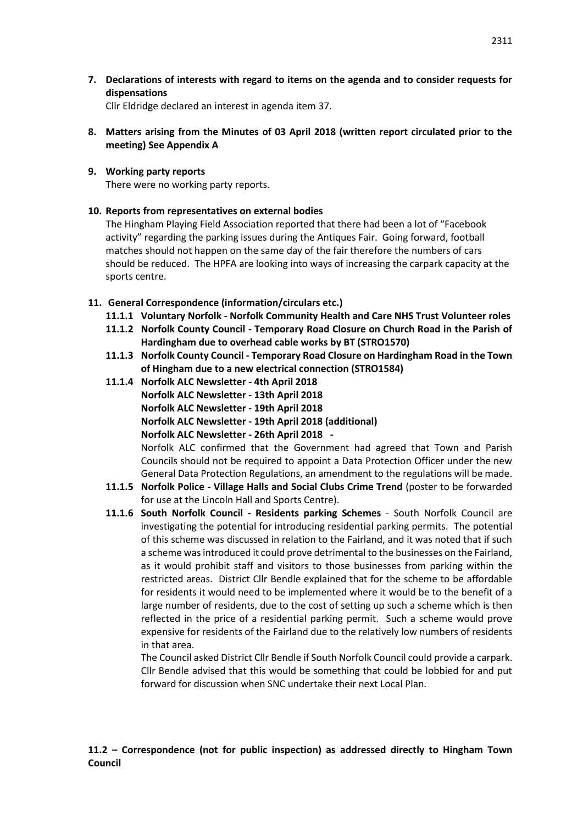**7. Declarations of interests with regard to items on the agenda and to consider requests for dispensations**

Cllr Eldridge declared an interest in agenda item 37.

- **8. Matters arising from the Minutes of 03 April 2018 (written report circulated prior to the meeting) See Appendix A**
- **9. Working party reports**

There were no working party reports.

### **10. Reports from representatives on external bodies**

The Hingham Playing Field Association reported that there had been a lot of "Facebook activity" regarding the parking issues during the Antiques Fair. Going forward, football matches should not happen on the same day of the fair therefore the numbers of cars should be reduced. The HPFA are looking into ways of increasing the carpark capacity at the sports centre.

### **11. General Correspondence (information/circulars etc.)**

- **11.1.1 Voluntary Norfolk - Norfolk Community Health and Care NHS Trust Volunteer roles**
- **11.1.2 Norfolk County Council - Temporary Road Closure on Church Road in the Parish of Hardingham due to overhead cable works by BT (STRO1570)**
- **11.1.3 Norfolk County Council - Temporary Road Closure on Hardingham Road in the Town of Hingham due to a new electrical connection (STRO1584)**
- **11.1.4 Norfolk ALC Newsletter - 4th April 2018 Norfolk ALC Newsletter - 13th April 2018 Norfolk ALC Newsletter - 19th April 2018 Norfolk ALC Newsletter - 19th April 2018 (additional) Norfolk ALC Newsletter - 26th April 2018 -** Norfolk ALC confirmed that the Government had agreed that Town and Parish Councils should not be required to appoint a Data Protection Officer under the new
- General Data Protection Regulations, an amendment to the regulations will be made. **11.1.5 Norfolk Police - Village Halls and Social Clubs Crime Trend** (poster to be forwarded for use at the Lincoln Hall and Sports Centre).
- **11.1.6 South Norfolk Council - Residents parking Schemes** South Norfolk Council are investigating the potential for introducing residential parking permits. The potential of this scheme was discussed in relation to the Fairland, and it was noted that if such a scheme was introduced it could prove detrimental to the businesses on the Fairland, as it would prohibit staff and visitors to those businesses from parking within the restricted areas. District Cllr Bendle explained that for the scheme to be affordable for residents it would need to be implemented where it would be to the benefit of a large number of residents, due to the cost of setting up such a scheme which is then reflected in the price of a residential parking permit. Such a scheme would prove expensive for residents of the Fairland due to the relatively low numbers of residents in that area.

The Council asked District Cllr Bendle if South Norfolk Council could provide a carpark. Cllr Bendle advised that this would be something that could be lobbied for and put forward for discussion when SNC undertake their next Local Plan.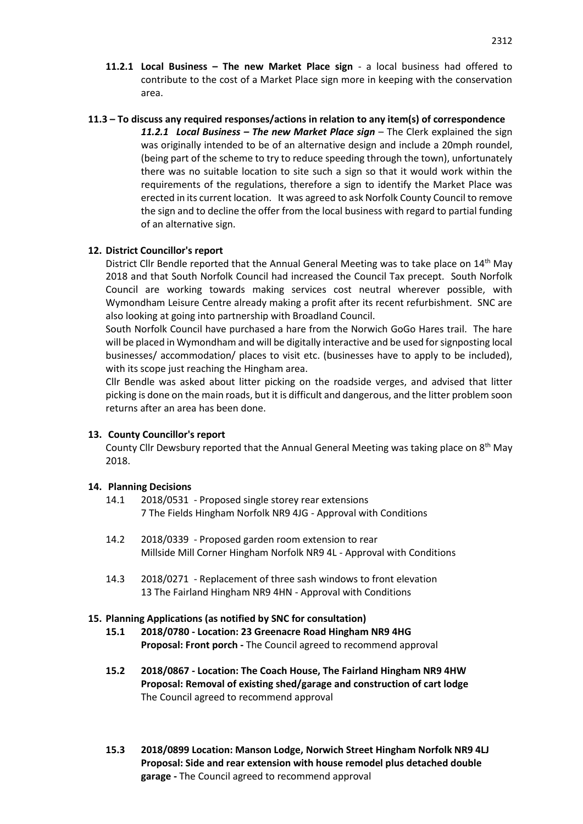#### **11.3 – To discuss any required responses/actions in relation to any item(s) of correspondence**

*11.2.1 Local Business – The new Market Place sign* – The Clerk explained the sign was originally intended to be of an alternative design and include a 20mph roundel, (being part of the scheme to try to reduce speeding through the town), unfortunately there was no suitable location to site such a sign so that it would work within the requirements of the regulations, therefore a sign to identify the Market Place was erected in its current location. It was agreed to ask Norfolk County Council to remove the sign and to decline the offer from the local business with regard to partial funding of an alternative sign.

### **12. District Councillor's report**

District Cllr Bendle reported that the Annual General Meeting was to take place on 14<sup>th</sup> May 2018 and that South Norfolk Council had increased the Council Tax precept. South Norfolk Council are working towards making services cost neutral wherever possible, with Wymondham Leisure Centre already making a profit after its recent refurbishment. SNC are also looking at going into partnership with Broadland Council.

South Norfolk Council have purchased a hare from the Norwich GoGo Hares trail. The hare will be placed in Wymondham and will be digitally interactive and be used for signposting local businesses/ accommodation/ places to visit etc. (businesses have to apply to be included), with its scope just reaching the Hingham area.

Cllr Bendle was asked about litter picking on the roadside verges, and advised that litter picking is done on the main roads, but it is difficult and dangerous, and the litter problem soon returns after an area has been done.

### **13. County Councillor's report**

County Cllr Dewsbury reported that the Annual General Meeting was taking place on 8<sup>th</sup> May 2018.

# **14. Planning Decisions**

- 14.1 2018/0531 Proposed single storey rear extensions 7 The Fields Hingham Norfolk NR9 4JG - Approval with Conditions
- 14.2 2018/0339 Proposed garden room extension to rear Millside Mill Corner Hingham Norfolk NR9 4L - Approval with Conditions
- 14.3 2018/0271 Replacement of three sash windows to front elevation 13 The Fairland Hingham NR9 4HN - Approval with Conditions

### **15. Planning Applications (as notified by SNC for consultation)**

- **15.1 2018/0780 - Location: 23 Greenacre Road Hingham NR9 4HG Proposal: Front porch -** The Council agreed to recommend approval
- **15.2 2018/0867 - Location: The Coach House, The Fairland Hingham NR9 4HW Proposal: Removal of existing shed/garage and construction of cart lodge** The Council agreed to recommend approval
- **15.3 2018/0899 Location: Manson Lodge, Norwich Street Hingham Norfolk NR9 4LJ Proposal: Side and rear extension with house remodel plus detached double garage -** The Council agreed to recommend approval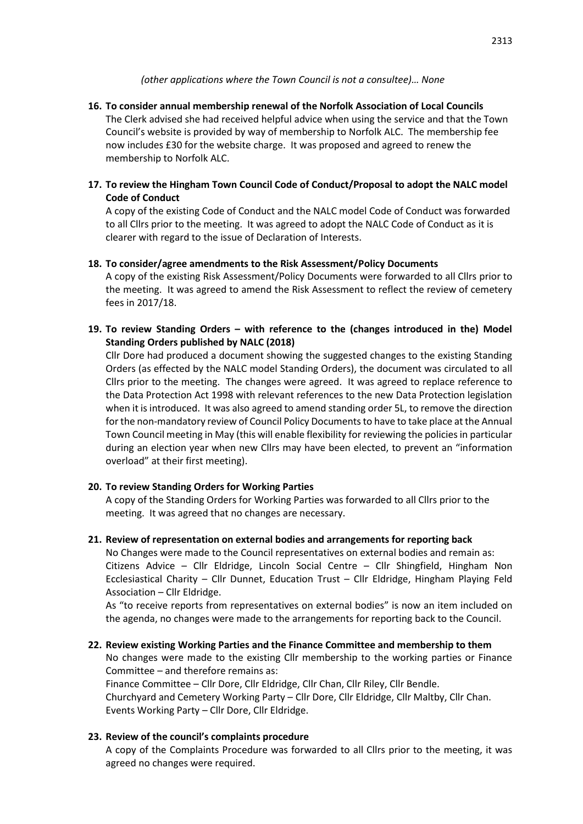### *(other applications where the Town Council is not a consultee)… None*

**16. To consider annual membership renewal of the Norfolk Association of Local Councils** The Clerk advised she had received helpful advice when using the service and that the Town Council's website is provided by way of membership to Norfolk ALC. The membership fee now includes £30 for the website charge. It was proposed and agreed to renew the membership to Norfolk ALC.

# **17. To review the Hingham Town Council Code of Conduct/Proposal to adopt the NALC model Code of Conduct**

A copy of the existing Code of Conduct and the NALC model Code of Conduct was forwarded to all Cllrs prior to the meeting. It was agreed to adopt the NALC Code of Conduct as it is clearer with regard to the issue of Declaration of Interests.

### **18. To consider/agree amendments to the Risk Assessment/Policy Documents**

A copy of the existing Risk Assessment/Policy Documents were forwarded to all Cllrs prior to the meeting. It was agreed to amend the Risk Assessment to reflect the review of cemetery fees in 2017/18.

**19. To review Standing Orders – with reference to the (changes introduced in the) Model Standing Orders published by NALC (2018)**

Cllr Dore had produced a document showing the suggested changes to the existing Standing Orders (as effected by the NALC model Standing Orders), the document was circulated to all Cllrs prior to the meeting. The changes were agreed. It was agreed to replace reference to the Data Protection Act 1998 with relevant references to the new Data Protection legislation when it is introduced. It was also agreed to amend standing order 5L, to remove the direction for the non-mandatory review of Council Policy Documents to have to take place at the Annual Town Council meeting in May (this will enable flexibility for reviewing the policies in particular during an election year when new Cllrs may have been elected, to prevent an "information overload" at their first meeting).

### **20. To review Standing Orders for Working Parties**

A copy of the Standing Orders for Working Parties was forwarded to all Cllrs prior to the meeting. It was agreed that no changes are necessary.

### **21. Review of representation on external bodies and arrangements for reporting back**

No Changes were made to the Council representatives on external bodies and remain as: Citizens Advice – Cllr Eldridge, Lincoln Social Centre – Cllr Shingfield, Hingham Non Ecclesiastical Charity – Cllr Dunnet, Education Trust – Cllr Eldridge, Hingham Playing Feld Association – Cllr Eldridge.

As "to receive reports from representatives on external bodies" is now an item included on the agenda, no changes were made to the arrangements for reporting back to the Council.

**22. Review existing Working Parties and the Finance Committee and membership to them** No changes were made to the existing Cllr membership to the working parties or Finance Committee – and therefore remains as: Finance Committee – Cllr Dore, Cllr Eldridge, Cllr Chan, Cllr Riley, Cllr Bendle. Churchyard and Cemetery Working Party – Cllr Dore, Cllr Eldridge, Cllr Maltby, Cllr Chan. Events Working Party – Cllr Dore, Cllr Eldridge.

# **23. Review of the council's complaints procedure**

A copy of the Complaints Procedure was forwarded to all Cllrs prior to the meeting, it was agreed no changes were required.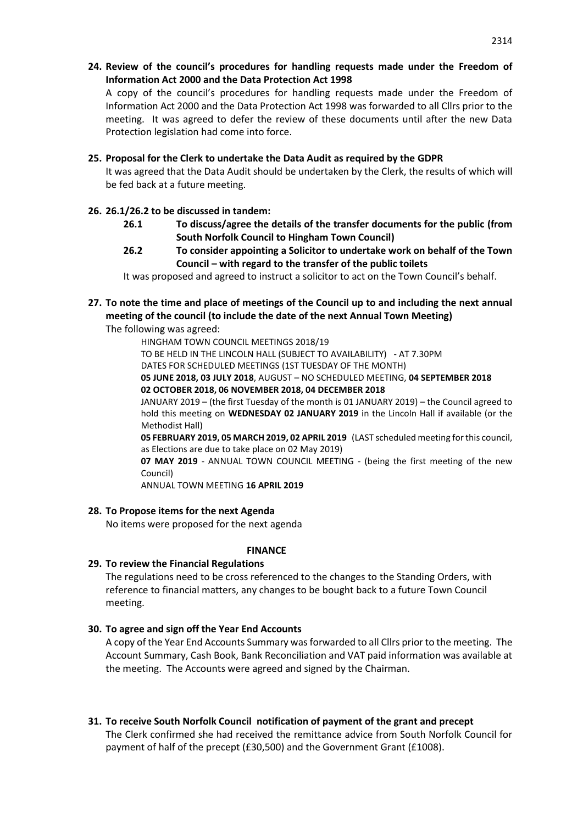**24. Review of the council's procedures for handling requests made under the Freedom of Information Act 2000 and the Data Protection Act 1998**

A copy of the council's procedures for handling requests made under the Freedom of Information Act 2000 and the Data Protection Act 1998 was forwarded to all Cllrs prior to the meeting. It was agreed to defer the review of these documents until after the new Data Protection legislation had come into force.

#### **25. Proposal for the Clerk to undertake the Data Audit as required by the GDPR**

It was agreed that the Data Audit should be undertaken by the Clerk, the results of which will be fed back at a future meeting.

### **26. 26.1/26.2 to be discussed in tandem:**

- **26.1 To discuss/agree the details of the transfer documents for the public (from South Norfolk Council to Hingham Town Council)**
- **26.2 To consider appointing a Solicitor to undertake work on behalf of the Town Council – with regard to the transfer of the public toilets**

It was proposed and agreed to instruct a solicitor to act on the Town Council's behalf.

# **27. To note the time and place of meetings of the Council up to and including the next annual meeting of the council (to include the date of the next Annual Town Meeting)**

The following was agreed:

HINGHAM TOWN COUNCIL MEETINGS 2018/19 TO BE HELD IN THE LINCOLN HALL (SUBJECT TO AVAILABILITY) - AT 7.30PM DATES FOR SCHEDULED MEETINGS (1ST TUESDAY OF THE MONTH) **05 JUNE 2018, 03 JULY 2018**, AUGUST – NO SCHEDULED MEETING, **04 SEPTEMBER 2018 02 OCTOBER 2018, 06 NOVEMBER 2018, 04 DECEMBER 2018** JANUARY 2019 – (the first Tuesday of the month is 01 JANUARY 2019) – the Council agreed to

hold this meeting on **WEDNESDAY 02 JANUARY 2019** in the Lincoln Hall if available (or the Methodist Hall)

**05 FEBRUARY 2019, 05 MARCH 2019, 02 APRIL 2019** (LAST scheduled meeting for this council, as Elections are due to take place on 02 May 2019)

**07 MAY 2019** - ANNUAL TOWN COUNCIL MEETING - (being the first meeting of the new Council)

ANNUAL TOWN MEETING **16 APRIL 2019**

### **28. To Propose items for the next Agenda**

No items were proposed for the next agenda

### **FINANCE**

### **29. To review the Financial Regulations**

The regulations need to be cross referenced to the changes to the Standing Orders, with reference to financial matters, any changes to be bought back to a future Town Council meeting.

### **30. To agree and sign off the Year End Accounts**

A copy of the Year End Accounts Summary was forwarded to all Cllrs prior to the meeting. The Account Summary, Cash Book, Bank Reconciliation and VAT paid information was available at the meeting. The Accounts were agreed and signed by the Chairman.

# **31. To receive South Norfolk Council notification of payment of the grant and precept**

The Clerk confirmed she had received the remittance advice from South Norfolk Council for payment of half of the precept (£30,500) and the Government Grant (£1008).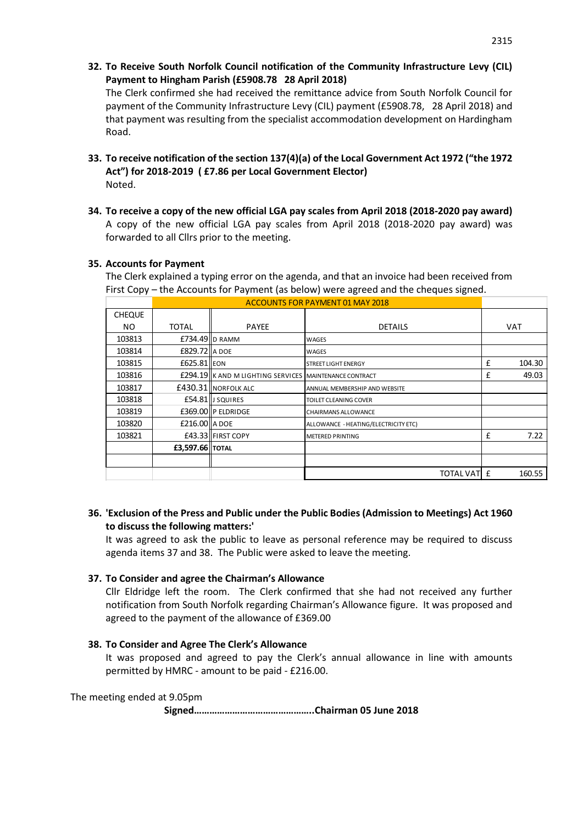- 2315
- **32. To Receive South Norfolk Council notification of the Community Infrastructure Levy (CIL) Payment to Hingham Parish (£5908.78 28 April 2018)**

The Clerk confirmed she had received the remittance advice from South Norfolk Council for payment of the Community Infrastructure Levy (CIL) payment (£5908.78, 28 April 2018) and that payment was resulting from the specialist accommodation development on Hardingham Road.

- **33. To receive notification of the section 137(4)(a) of the Local Government Act 1972 ("the 1972 Act") for 2018-2019 ( £7.86 per Local Government Elector)**  Noted.
- **34. To receive a copy of the new official LGA pay scales from April 2018 (2018-2020 pay award)** A copy of the new official LGA pay scales from April 2018 (2018-2020 pay award) was forwarded to all Cllrs prior to the meeting.

### **35. Accounts for Payment**

The Clerk explained a typing error on the agenda, and that an invoice had been received from

| First Copy – the Accounts for Payment (as below) were agreed and the cheques signed. |              |                                                                                                                                                                                       |                                                                                                          |                                                                                                                      |
|--------------------------------------------------------------------------------------|--------------|---------------------------------------------------------------------------------------------------------------------------------------------------------------------------------------|----------------------------------------------------------------------------------------------------------|----------------------------------------------------------------------------------------------------------------------|
|                                                                                      |              |                                                                                                                                                                                       |                                                                                                          |                                                                                                                      |
|                                                                                      |              |                                                                                                                                                                                       |                                                                                                          |                                                                                                                      |
| <b>TOTAL</b>                                                                         | <b>PAYEE</b> | <b>DETAILS</b>                                                                                                                                                                        | <b>VAT</b>                                                                                               |                                                                                                                      |
|                                                                                      |              | WAGES                                                                                                                                                                                 |                                                                                                          |                                                                                                                      |
|                                                                                      |              | WAGES                                                                                                                                                                                 |                                                                                                          |                                                                                                                      |
|                                                                                      |              | <b>STREET LIGHT ENERGY</b>                                                                                                                                                            | £                                                                                                        | 104.30                                                                                                               |
|                                                                                      |              |                                                                                                                                                                                       | £                                                                                                        | 49.03                                                                                                                |
|                                                                                      |              | ANNUAL MEMBERSHIP AND WEBSITE                                                                                                                                                         |                                                                                                          |                                                                                                                      |
|                                                                                      |              | TOILET CLEANING COVER                                                                                                                                                                 |                                                                                                          |                                                                                                                      |
|                                                                                      |              | <b>CHAIRMANS ALLOWANCE</b>                                                                                                                                                            |                                                                                                          |                                                                                                                      |
|                                                                                      |              | ALLOWANCE - HEATING/ELECTRICITY ETC)                                                                                                                                                  |                                                                                                          |                                                                                                                      |
|                                                                                      |              | <b>METERED PRINTING</b>                                                                                                                                                               | £                                                                                                        | 7.22                                                                                                                 |
|                                                                                      |              |                                                                                                                                                                                       |                                                                                                          |                                                                                                                      |
|                                                                                      |              |                                                                                                                                                                                       |                                                                                                          |                                                                                                                      |
|                                                                                      |              |                                                                                                                                                                                       |                                                                                                          | 160.55                                                                                                               |
|                                                                                      |              | $£734.49$ D RAMM<br>£829.72 A DOE<br>£625.81 EON<br>£430.31 NORFOLK ALC<br>£54.81 J SQUIRES<br>£369.00 P ELDRIDGE<br>$£216.00$ $A$ DOE<br>£43.33 FIRST COPY<br><b>£3,597.66 TOTAL</b> | <b>ACCOUNTS FOR PAYMENT 01 MAY 2018</b><br><b>£294.19 K AND M LIGHTING SERVICES MAINTENANCE CONTRACT</b> | The Cience Aplanted a typing cribit on the agenda, and that an invoice nad been received from<br><b>TOTAL VATI £</b> |

# **36. 'Exclusion of the Press and Public under the Public Bodies (Admission to Meetings) Act 1960 to discuss the following matters:'**

It was agreed to ask the public to leave as personal reference may be required to discuss agenda items 37 and 38. The Public were asked to leave the meeting.

### **37. To Consider and agree the Chairman's Allowance**

Cllr Eldridge left the room. The Clerk confirmed that she had not received any further notification from South Norfolk regarding Chairman's Allowance figure. It was proposed and agreed to the payment of the allowance of £369.00

### **38. To Consider and Agree The Clerk's Allowance**

It was proposed and agreed to pay the Clerk's annual allowance in line with amounts permitted by HMRC - amount to be paid - £216.00.

The meeting ended at 9.05pm

**Signed………………………………………..Chairman 05 June 2018**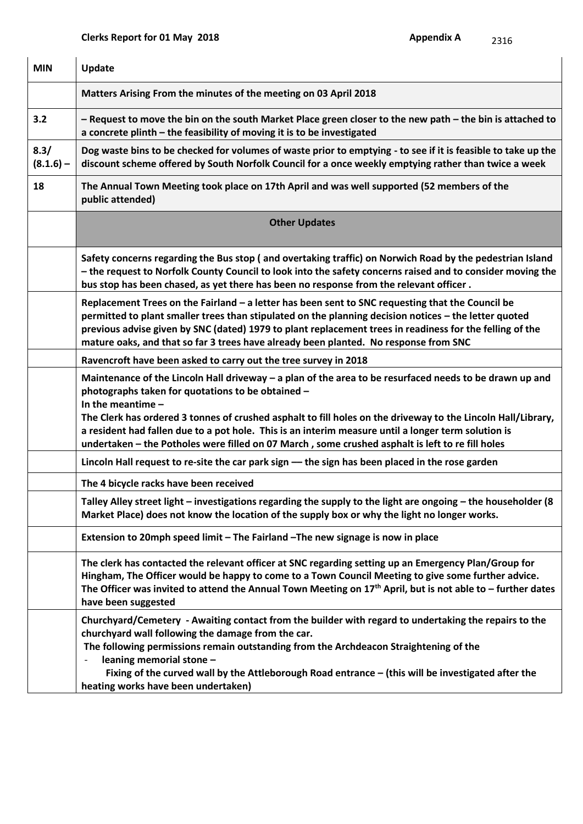| <b>MIN</b>          | <b>Update</b>                                                                                                                                                                                                                                                                                                                                                                                                                 |
|---------------------|-------------------------------------------------------------------------------------------------------------------------------------------------------------------------------------------------------------------------------------------------------------------------------------------------------------------------------------------------------------------------------------------------------------------------------|
|                     | Matters Arising From the minutes of the meeting on 03 April 2018                                                                                                                                                                                                                                                                                                                                                              |
| 3.2                 | - Request to move the bin on the south Market Place green closer to the new path - the bin is attached to<br>a concrete plinth - the feasibility of moving it is to be investigated                                                                                                                                                                                                                                           |
| 8.3/<br>$(8.1.6) -$ | Dog waste bins to be checked for volumes of waste prior to emptying - to see if it is feasible to take up the<br>discount scheme offered by South Norfolk Council for a once weekly emptying rather than twice a week                                                                                                                                                                                                         |
| 18                  | The Annual Town Meeting took place on 17th April and was well supported (52 members of the<br>public attended)                                                                                                                                                                                                                                                                                                                |
|                     | <b>Other Updates</b>                                                                                                                                                                                                                                                                                                                                                                                                          |
|                     | Safety concerns regarding the Bus stop (and overtaking traffic) on Norwich Road by the pedestrian Island<br>- the request to Norfolk County Council to look into the safety concerns raised and to consider moving the<br>bus stop has been chased, as yet there has been no response from the relevant officer.                                                                                                              |
|                     | Replacement Trees on the Fairland - a letter has been sent to SNC requesting that the Council be<br>permitted to plant smaller trees than stipulated on the planning decision notices - the letter quoted<br>previous advise given by SNC (dated) 1979 to plant replacement trees in readiness for the felling of the<br>mature oaks, and that so far 3 trees have already been planted. No response from SNC                 |
|                     | Ravencroft have been asked to carry out the tree survey in 2018                                                                                                                                                                                                                                                                                                                                                               |
|                     | Maintenance of the Lincoln Hall driveway - a plan of the area to be resurfaced needs to be drawn up and<br>photographs taken for quotations to be obtained -<br>In the meantime $-$<br>The Clerk has ordered 3 tonnes of crushed asphalt to fill holes on the driveway to the Lincoln Hall/Library,                                                                                                                           |
|                     | a resident had fallen due to a pot hole. This is an interim measure until a longer term solution is<br>undertaken - the Potholes were filled on 07 March, some crushed asphalt is left to re fill holes                                                                                                                                                                                                                       |
|                     | Lincoln Hall request to re-site the car park sign - the sign has been placed in the rose garden                                                                                                                                                                                                                                                                                                                               |
|                     | The 4 bicycle racks have been received                                                                                                                                                                                                                                                                                                                                                                                        |
|                     | Talley Alley street light – investigations regarding the supply to the light are ongoing – the householder (8<br>Market Place) does not know the location of the supply box or why the light no longer works.                                                                                                                                                                                                                 |
|                     | Extension to 20mph speed limit - The Fairland - The new signage is now in place                                                                                                                                                                                                                                                                                                                                               |
|                     | The clerk has contacted the relevant officer at SNC regarding setting up an Emergency Plan/Group for<br>Hingham, The Officer would be happy to come to a Town Council Meeting to give some further advice.<br>The Officer was invited to attend the Annual Town Meeting on $17th$ April, but is not able to – further dates<br>have been suggested                                                                            |
|                     | Churchyard/Cemetery - Awaiting contact from the builder with regard to undertaking the repairs to the<br>churchyard wall following the damage from the car.<br>The following permissions remain outstanding from the Archdeacon Straightening of the<br>leaning memorial stone -<br>Fixing of the curved wall by the Attleborough Road entrance - (this will be investigated after the<br>heating works have been undertaken) |